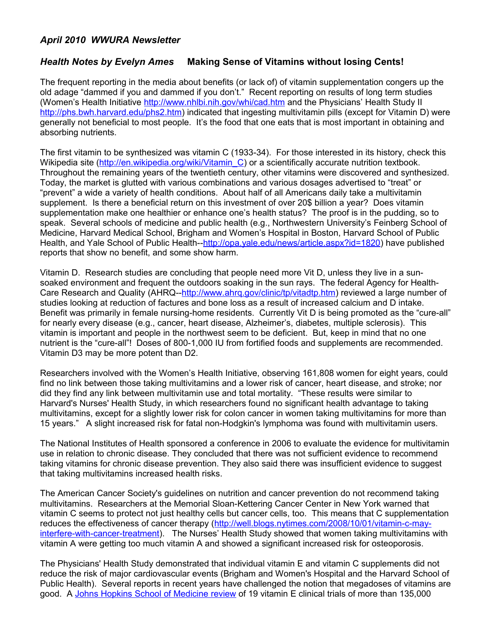## *April 2010 WWURA Newsletter*

## *Health Notes by Evelyn Ames* **Making Sense of Vitamins without losing Cents!**

The frequent reporting in the media about benefits (or lack of) of vitamin supplementation congers up the old adage "dammed if you and dammed if you don't." Recent reporting on results of long term studies (Women's Health Initiative<http://www.nhlbi.nih.gov/whi/cad.htm>and the Physicians' Health Study II [http://phs.bwh.harvard.edu/phs2.htm\)](http://phs.bwh.harvard.edu/phs2.htm) indicated that ingesting multivitamin pills (except for Vitamin D) were generally not beneficial to most people. It's the food that one eats that is most important in obtaining and absorbing nutrients.

The first vitamin to be synthesized was vitamin C (1933-34). For those interested in its history, check this Wikipedia site (http://en.wikipedia.org/wiki/Vitamin C) or a scientifically accurate nutrition textbook. Throughout the remaining years of the twentieth century, other vitamins were discovered and synthesized. Today, the market is glutted with various combinations and various dosages advertised to "treat" or "prevent" a wide a variety of health conditions. About half of all Americans daily take a multivitamin supplement. Is there a beneficial return on this investment of over 20\$ billion a year? Does vitamin supplementation make one healthier or enhance one's health status? The proof is in the pudding, so to speak. Several schools of medicine and public health (e.g., Northwestern University's Feinberg School of Medicine, Harvard Medical School, Brigham and Women's Hospital in Boston, Harvard School of Public Health, and Yale School of Public Health-[-http://opa.yale.edu/news/article.aspx?id=1820\)](http://opa.yale.edu/news/article.aspx?id=1820) have published reports that show no benefit, and some show harm.

Vitamin D. Research studies are concluding that people need more Vit D, unless they live in a sunsoaked environment and frequent the outdoors soaking in the sun rays. The federal Agency for Health-Care Research and Quality (AHRQ-[-http://www.ahrq.gov/clinic/tp/vitadtp.htm\)](http://www.ahrq.gov/clinic/tp/vitadtp.htm) reviewed a large number of studies looking at reduction of factures and bone loss as a result of increased calcium and D intake. Benefit was primarily in female nursing-home residents. Currently Vit D is being promoted as the "cure-all" for nearly every disease (e.g., cancer, heart disease, Alzheimer's, diabetes, multiple sclerosis). This vitamin is important and people in the northwest seem to be deficient. But, keep in mind that no one nutrient is the "cure-all"! Doses of 800-1,000 IU from fortified foods and supplements are recommended. Vitamin D3 may be more potent than D2.

Researchers involved with the Women's Health Initiative, observing 161,808 women for eight years, could find no link between those taking multivitamins and a lower risk of cancer, heart disease, and stroke; nor did they find any link between multivitamin use and total mortality. "These results were similar to Harvard's Nurses' Health Study, in which researchers found no significant health advantage to taking multivitamins, except for a slightly lower risk for colon cancer in women taking multivitamins for more than 15 years." A slight increased risk for fatal non-Hodgkin's lymphoma was found with multivitamin users.

The National Institutes of Health sponsored a conference in 2006 to evaluate the evidence for multivitamin use in relation to chronic disease. They concluded that there was not sufficient evidence to recommend taking vitamins for chronic disease prevention. They also said there was insufficient evidence to suggest that taking multivitamins increased health risks.

The American Cancer Society's guidelines on nutrition and cancer prevention do not recommend taking multivitamins. Researchers at the Memorial Sloan-Kettering Cancer Center in New York warned that vitamin C seems to protect not just healthy cells but cancer cells, too. This means that C supplementation reduces the effectiveness of cancer therapy [\(http://well.blogs.nytimes.com/2008/10/01/vitamin-c-may](http://well.blogs.nytimes.com/2008/10/01/vitamin-c-may-interfere-with-cancer-treatment)[interfere-with-cancer-treatment\)](http://well.blogs.nytimes.com/2008/10/01/vitamin-c-may-interfere-with-cancer-treatment). The Nurses' Health Study showed that women taking multivitamins with vitamin A were getting too much vitamin A and showed a significant increased risk for osteoporosis.

The Physicians' Health Study demonstrated that individual vitamin E and vitamin C supplements did not reduce the risk of major cardiovascular events (Brigham and Women's Hospital and the Harvard School of Public Health). Several reports in recent years have challenged the notion that megadoses of vitamins are good. A [Johns Hopkins School of Medicine review](http://www.ncbi.nlm.nih.gov/sites/entrez?db=PubMed&cmd=Retrieve&list_uids=15537682) of 19 vitamin E clinical trials of more than 135,000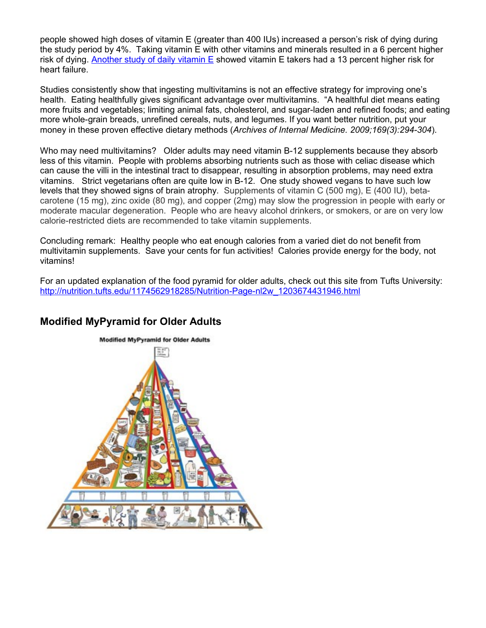people showed high doses of vitamin E (greater than 400 IUs) increased a person's risk of dying during the study period by 4%. Taking vitamin E with other vitamins and minerals resulted in a 6 percent higher risk of dying. [Another study of daily vitamin E](http://www.ncbi.nlm.nih.gov/pubmed/15769967) showed vitamin E takers had a 13 percent higher risk for heart failure.

Studies consistently show that ingesting multivitamins is not an effective strategy for improving one's health. Eating healthfully gives significant advantage over multivitamins. "A healthful diet means eating more fruits and vegetables; limiting animal fats, cholesterol, and sugar-laden and refined foods; and eating more whole-grain breads, unrefined cereals, nuts, and legumes. If you want better nutrition, put your money in these proven effective dietary methods (*Archives of Internal Medicine. 2009;169(3):294-304*).

Who may need multivitamins? Older adults may need vitamin B-12 supplements because they absorb less of this vitamin. People with problems absorbing nutrients such as those with celiac disease which can cause the villi in the intestinal tract to disappear, resulting in absorption problems, may need extra vitamins. Strict vegetarians often are quite low in B-12. One study showed vegans to have such low levels that they showed signs of brain atrophy. Supplements of vitamin C (500 mg), E (400 IU), betacarotene (15 mg), zinc oxide (80 mg), and copper (2mg) may slow the progression in people with early or moderate macular degeneration. People who are heavy alcohol drinkers, or smokers, or are on very low calorie-restricted diets are recommended to take vitamin supplements.

Concluding remark: Healthy people who eat enough calories from a varied diet do not benefit from multivitamin supplements. Save your cents for fun activities! Calories provide energy for the body, not vitamins!

For an updated explanation of the food pyramid for older adults, check out this site from Tufts University: [http://nutrition.tufts.edu/1174562918285/Nutrition-Page-nl2w\\_1203674431946.html](http://nutrition.tufts.edu/1174562918285/Nutrition-Page-nl2w_1203674431946.html)



## **Modified MyPyramid for Older Adults**